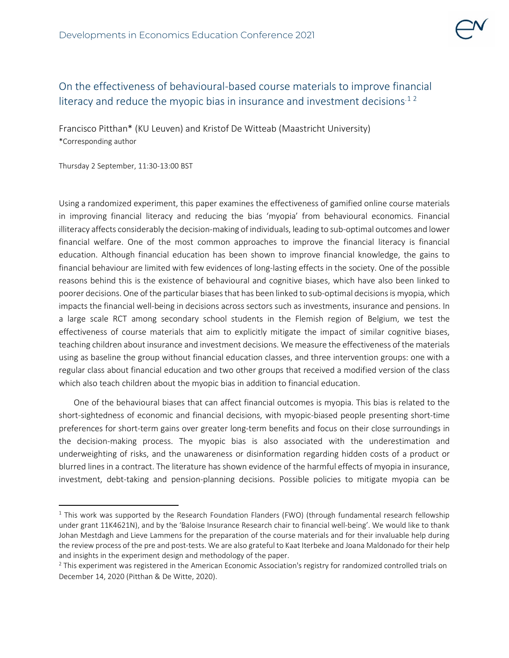

## On the effectiveness of behavioural-based course materials to improve financial literacy and reduce the myopic bias in insurance and investment decisions<sup> $12$  $12$ </sup>

Francisco Pitthan\* (KU Leuven) and Kristof De Witteab (Maastricht University) \*Corresponding author

Thursday 2 September, 11:30-13:00 BST

Using a randomized experiment, this paper examines the effectiveness of gamified online course materials in improving financial literacy and reducing the bias 'myopia' from behavioural economics. Financial illiteracy affects considerably the decision-making of individuals, leading to sub-optimal outcomes and lower financial welfare. One of the most common approaches to improve the financial literacy is financial education. Although financial education has been shown to improve financial knowledge, the gains to financial behaviour are limited with few evidences of long-lasting effects in the society. One of the possible reasons behind this is the existence of behavioural and cognitive biases, which have also been linked to poorer decisions. One of the particular biases that has been linked to sub-optimal decisions is myopia, which impacts the financial well-being in decisions across sectors such as investments, insurance and pensions. In a large scale RCT among secondary school students in the Flemish region of Belgium, we test the effectiveness of course materials that aim to explicitly mitigate the impact of similar cognitive biases, teaching children about insurance and investment decisions. We measure the effectiveness of the materials using as baseline the group without financial education classes, and three intervention groups: one with a regular class about financial education and two other groups that received a modified version of the class which also teach children about the myopic bias in addition to financial education.

One of the behavioural biases that can affect financial outcomes is myopia. This bias is related to the short-sightedness of economic and financial decisions, with myopic-biased people presenting short-time preferences for short-term gains over greater long-term benefits and focus on their close surroundings in the decision-making process. The myopic bias is also associated with the underestimation and underweighting of risks, and the unawareness or disinformation regarding hidden costs of a product or blurred lines in a contract. The literature has shown evidence of the harmful effects of myopia in insurance, investment, debt-taking and pension-planning decisions. Possible policies to mitigate myopia can be

<span id="page-0-0"></span> $1$  This work was supported by the Research Foundation Flanders (FWO) (through fundamental research fellowship under grant 11K4621N), and by the 'Baloise Insurance Research chair to financial well-being'. We would like to thank Johan Mestdagh and Lieve Lammens for the preparation of the course materials and for their invaluable help during the review process of the pre and post-tests. We are also grateful to Kaat Iterbeke and Joana Maldonado for their help and insights in the experiment design and methodology of the paper.

<span id="page-0-1"></span> $<sup>2</sup>$  This experiment was registered in the American Economic Association's registry for randomized controlled trials on</sup> December 14, 2020 (Pitthan & De Witte, 2020).